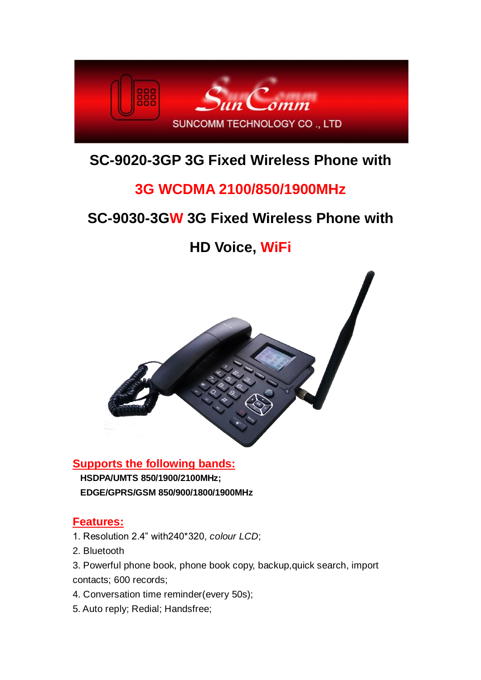

## **SC-9020-3GP 3G Fixed Wireless Phone with**

## **3G WCDMA 2100/850/1900MHz**

## **SC-9030-3GW 3G Fixed Wireless Phone with**

**HD Voice, WiFi**



### **Supports the following bands: HSDPA/UMTS 850/1900/2100MHz; EDGE/GPRS/GSM 850/900/1800/1900MHz**

### **Features:**

- 1. Resolution 2.4" with240\*320, *colour LCD*;
- 2. Bluetooth
- 3. Powerful phone book, phone book copy, backup,quick search, import contacts; 600 records;
- 4. Conversation time reminder(every 50s);
- 5. Auto reply; Redial; Handsfree;